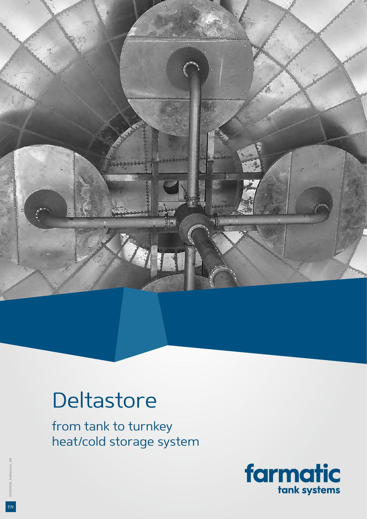

# **Deltastore**

from tank to turnkey heat/cold storage system



EN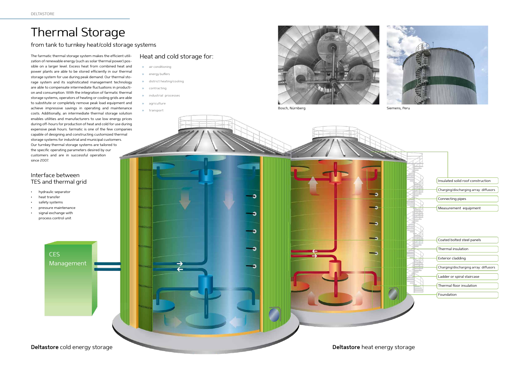### Heat and cold storage for:

## Thermal Storage

- ›› air conditioning
- ›› energy buffers
- ›› district heating/cooling
- ›› contracting
- ›› industrial processes
- ›› agriculture
- ›› transport



Bosch, Nürnberg Siemens, Peru



The farmatic thermal storage system makes the efficient utilization of renewable energy (such as solar thermal power) possible on a larger level. Excess heat from combined heat and power plants are able to be stored efficiently in our thermal storage system for use during peak demand. Our thermal storage system and its sophisticated management technology are able to compensate intermediate fluctuations in production and consumption. With the integration of farmatic thermal storage systems, operators of heating or cooling grids are able to substitute or completely remove peak load equipment and achieve impressive savings in operating and maintenance costs. Additionally, an intermediate thermal storage solution enables utilities and manufacturers to use low energy prices during off-hours for production of heat and cold for use during expensive peak hours. farmatic is one of the few companies capable of designing and constructing customized thermal storage systems for industrial and municipal customers. Our turnkey thermal storage systems are tailored to the specific operating parameters desired by our customers and are in successful operation since 2007.

#### from tank to turnkey heat/cold storage systems



CES

Management

#### Interface between TES and thermal grid

- hydraulic separator
- heat transfer
- safety systems
- pressure maintenance
- signal exchange with process control unit